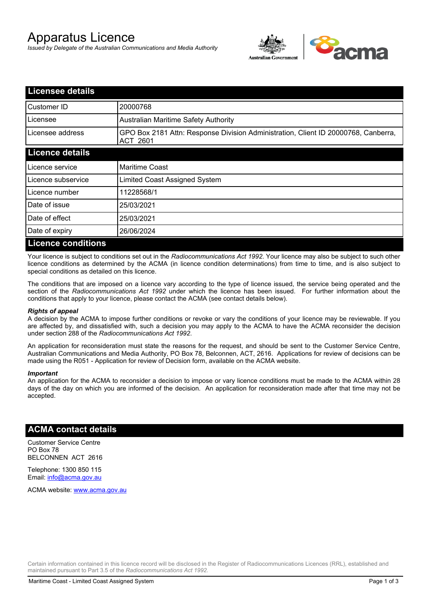# Apparatus Licence

*Issued by Delegate of the Australian Communications and Media Authority*



| <b>Licensee details</b>   |                                                                                                |
|---------------------------|------------------------------------------------------------------------------------------------|
| Customer ID               | 20000768                                                                                       |
| Licensee                  | <b>Australian Maritime Safety Authority</b>                                                    |
| Licensee address          | GPO Box 2181 Attn: Response Division Administration, Client ID 20000768, Canberra,<br>ACT 2601 |
| <b>Licence details</b>    |                                                                                                |
| Licence service           | <b>Maritime Coast</b>                                                                          |
| Licence subservice        | Limited Coast Assigned System                                                                  |
| Licence number            | 11228568/1                                                                                     |
| Date of issue             | 25/03/2021                                                                                     |
| Date of effect            | 25/03/2021                                                                                     |
| Date of expiry            | 26/06/2024                                                                                     |
| <b>Licence conditions</b> |                                                                                                |

Your licence is subject to conditions set out in the *Radiocommunications Act 1992*. Your licence may also be subject to such other licence conditions as determined by the ACMA (in licence condition determinations) from time to time, and is also subject to special conditions as detailed on this licence.

The conditions that are imposed on a licence vary according to the type of licence issued, the service being operated and the section of the *Radiocommunications Act 1992* under which the licence has been issued. For further information about the conditions that apply to your licence, please contact the ACMA (see contact details below).

#### *Rights of appeal*

A decision by the ACMA to impose further conditions or revoke or vary the conditions of your licence may be reviewable. If you are affected by, and dissatisfied with, such a decision you may apply to the ACMA to have the ACMA reconsider the decision under section 288 of the *Radiocommunications Act 1992*.

An application for reconsideration must state the reasons for the request, and should be sent to the Customer Service Centre, Australian Communications and Media Authority, PO Box 78, Belconnen, ACT, 2616. Applications for review of decisions can be made using the R051 - Application for review of Decision form, available on the ACMA website.

#### *Important*

An application for the ACMA to reconsider a decision to impose or vary licence conditions must be made to the ACMA within 28 days of the day on which you are informed of the decision. An application for reconsideration made after that time may not be accepted.

### **ACMA contact details**

Customer Service Centre PO Box 78 BELCONNEN ACT 2616

Telephone: 1300 850 115 Email: info@acma.gov.au

ACMA website: www.acma.gov.au

Certain information contained in this licence record will be disclosed in the Register of Radiocommunications Licences (RRL), established and maintained pursuant to Part 3.5 of the *Radiocommunications Act 1992.*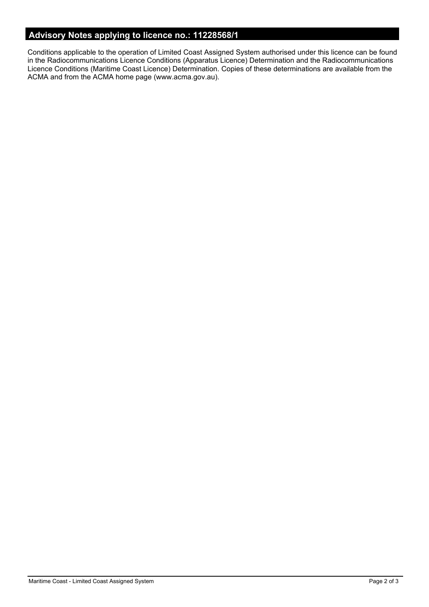# **Advisory Notes applying to licence no.: 11228568/1**

Conditions applicable to the operation of Limited Coast Assigned System authorised under this licence can be found in the Radiocommunications Licence Conditions (Apparatus Licence) Determination and the Radiocommunications Licence Conditions (Maritime Coast Licence) Determination. Copies of these determinations are available from the ACMA and from the ACMA home page (www.acma.gov.au).